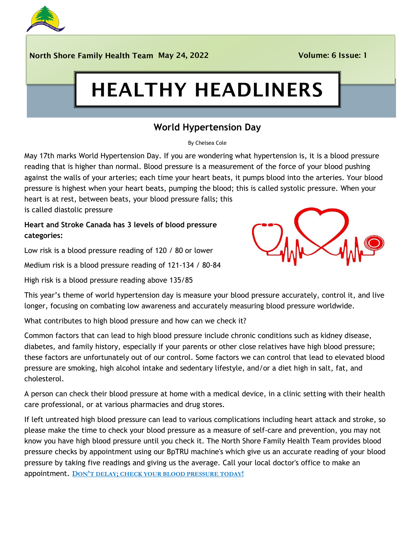

North Shore Family Health Team May 24, 2022 Volume: 6 Issue: 1

# HEALTHY HEADLINERS

# **World Hypertension Day**

By Chelsea Cole

May 17th marks World Hypertension Day. If you are wondering what hypertension is, it is a blood pressure reading that is higher than normal. Blood pressure is a measurement of the force of your blood pushing against the walls of your arteries; each time your heart beats, it pumps blood into the arteries. Your blood pressure is highest when your heart beats, pumping the blood; this is called systolic pressure. When your heart is at rest, between beats, your blood pressure falls; this

is called diastolic pressure

**Heart and Stroke Canada has 3 levels of blood pressure categories:**

Low risk is a blood pressure reading of 120 / 80 or lower

Medium risk is a blood pressure reading of 121-134 / 80-84

High risk is a blood pressure reading above 135/85



This year's theme of world hypertension day is measure your blood pressure accurately, control it, and live longer, focusing on combating low awareness and accurately measuring blood pressure worldwide.

What contributes to high blood pressure and how can we check it?

Common factors that can lead to high blood pressure include chronic conditions such as kidney disease, diabetes, and family history, especially if your parents or other close relatives have high blood pressure; these factors are unfortunately out of our control. Some factors we can control that lead to elevated blood pressure are smoking, high alcohol intake and sedentary lifestyle, and/or a diet high in salt, fat, and cholesterol.

A person can check their blood pressure at home with a medical device, in a clinic setting with their health care professional, or at various pharmacies and drug stores.

If left untreated high blood pressure can lead to various complications including heart attack and stroke, so please make the time to check your blood pressure as a measure of self-care and prevention, you may not know you have high blood pressure until you check it. The North Shore Family Health Team provides blood pressure checks by appointment using our BpTRU machine's which give us an accurate reading of your blood pressure by taking five readings and giving us the average. Call your local doctor's office to make an appointment. **DON'T DELAY; CHECK YOUR BLOOD PRESSURE TODAY!**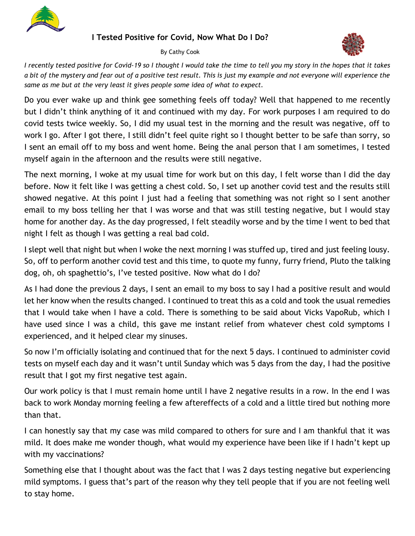

#### **I Tested Positive for Covid, Now What Do I Do?**

By Cathy Cook



*I recently tested positive for Covid-19 so I thought I would take the time to tell you my story in the hop[es tha](https://newsandletters.org/covid-19-a-world-historic-threat/)t it takes*  a bit of the mystery and fear out of a positive test result. This is just my example and not everyone will [exper](https://newsandletters.org/covid-19-a-world-historic-threat/)ience the *same as me but at the very least it gives people some idea of what to expect.*

Do you ever wake up and think gee something feels off today? Well that happened to me recently but I didn't think anything of it and continued with my day. For work purposes I am required to do covid tests twice weekly. So, I did my usual test in the morning and the result was negative, off to work I go. After I got there, I still didn't feel quite right so I thought better to be safe than sorry, so I sent an email off to my boss and went home. Being the anal person that I am sometimes, I tested myself again in the afternoon and the results were still negative.

The next morning, I woke at my usual time for work but on this day, I felt worse than [I did](https://creativecommons.org/licenses/by-sa/3.0/) the day before. Now it felt like I was getting a chest cold. So, I set up another covid test and the results still showed negative. At this point I just had a feeling that something was not right so I sent another email to my boss telling her that I was worse and that was still testing negative, but I would stay home for another day. As the day progressed, I felt steadily worse and by the time I went to bed that night I felt as though I was getting a real bad cold.

I slept well that night but when I woke the next morning I was stuffed up, tired and just feeling lousy. So, off to perform another covid test and this time, to quote my funny, furry friend, Pluto the talking dog, oh, oh spaghettio's, I've tested positive. Now what do I do?

As I had done the previous 2 days, I sent an email to my boss to say I had a positive result and would let her know when the results changed. I continued to treat this as a cold and took the usual remedies that I would take when I have a cold. There is something to be said about Vicks VapoRub, which I have used since I was a child, this gave me instant relief from whatever chest cold symptoms I experienced, and it helped clear my sinuses.

So now I'm officially isolating and continued that for the next 5 days. I continued to administer covid tests on myself each day and it wasn't until Sunday which was 5 days from the day, I had the positive result that I got my first negative test again.

Our work policy is that I must remain home until I have 2 negative results in a row. In the end I was back to work Monday morning feeling a few aftereffects of a cold and a little tired but nothing more than that.

I can honestly say that my case was mild compared to others for sure and I am thankful that it was mild. It does make me wonder though, what would my experience have been like if I hadn't kept up with my vaccinations?

Something else that I thought about was the fact that I was 2 days testing negative but experiencing mild symptoms. I guess that's part of the reason why they tell people that if you are not feeling well to stay home.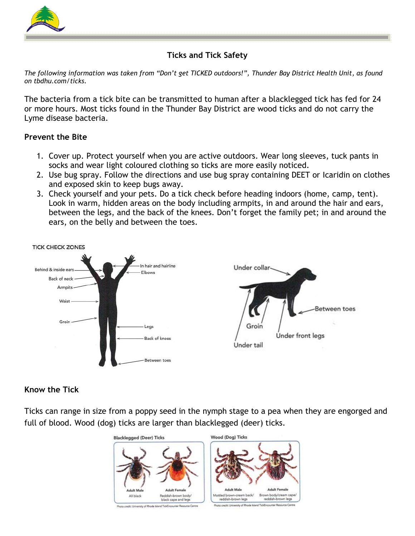

# **Ticks and Tick Safety**

*The following information was taken from "Don't get TICKED outdoors!", Thunder Bay District Health Unit, as found on tbdhu.com/ticks.* 

The bacteria from a tick bite can be transmitted to human after a blacklegged tick has fed for 24 or more hours. Most ticks found in the Thunder Bay District are wood ticks and do not carry the Lyme disease bacteria.

#### **Prevent the Bite**

- 1. Cover up. Protect yourself when you are active outdoors. Wear long sleeves, tuck pants in socks and wear light coloured clothing so ticks are more easily noticed.
- 2. Use bug spray. Follow the directions and use bug spray containing DEET or Icaridin on clothes and exposed skin to keep bugs away.
- 3. Check yourself and your pets. Do a tick check before heading indoors (home, camp, tent). Look in warm, hidden areas on the body including armpits, in and around the hair and ears, between the legs, and the back of the knees. Don't forget the family pet; in and around the ears, on the belly and between the toes.



# **Know the Tick**

Ticks can range in size from a poppy seed in the nymph stage to a pea when they are engorged and full of blood. Wood (dog) ticks are larger than blacklegged (deer) ticks.

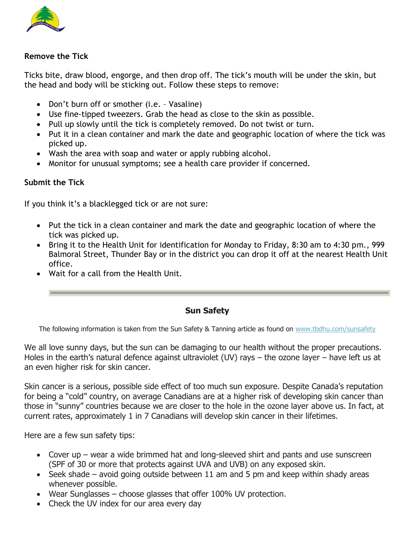

#### **Remove the Tick**

Ticks bite, draw blood, engorge, and then drop off. The tick's mouth will be under the skin, but the head and body will be sticking out. Follow these steps to remove:

- Don't burn off or smother (i.e. Vasaline)
- Use fine-tipped tweezers. Grab the head as close to the skin as possible.
- Pull up slowly until the tick is completely removed. Do not twist or turn.
- Put it in a clean container and mark the date and geographic location of where the tick was picked up.
- Wash the area with soap and water or apply rubbing alcohol.
- Monitor for unusual symptoms; see a health care provider if concerned.

#### **Submit the Tick**

If you think it's a blacklegged tick or are not sure:

- Put the tick in a clean container and mark the date and geographic location of where the tick was picked up.
- Bring it to the Health Unit for identification for Monday to Friday, 8:30 am to 4:30 pm., 999 Balmoral Street, Thunder Bay or in the district you can drop it off at the nearest Health Unit office.
- Wait for a call from the Health Unit.

#### **Sun Safety**

The following information is taken from the Sun Safety & Tanning article as found on [www.tbdhu.com/sunsafety](http://www.tbdhu.com/sunsafety)

We all love sunny days, but the sun can be damaging to our health without the proper precautions. Holes in the earth's natural defence against ultraviolet (UV) rays – the ozone layer – have left us at an even higher risk for skin cancer.

Skin cancer is a serious, possible side effect of too much sun exposure. Despite Canada's reputation for being a "cold" country, on average Canadians are at a higher risk of developing skin cancer than those in "sunny" countries because we are closer to the hole in the ozone layer above us. In fact, at current rates, approximately 1 in 7 Canadians will develop skin cancer in their lifetimes.

Here are a few sun safety tips:

- Cover up wear a wide brimmed hat and long-sleeved shirt and pants and use sunscreen (SPF of 30 or more that protects against UVA and UVB) on any exposed skin.
- Seek shade avoid going outside between 11 am and 5 pm and keep within shady areas whenever possible.
- Wear Sunglasses choose glasses that offer 100% UV protection.
- Check the UV index for our area every day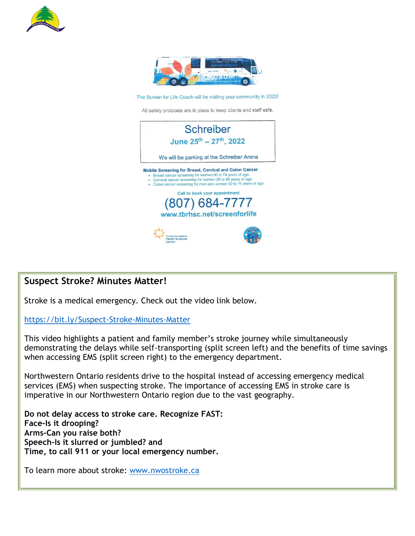



The Screen for Life Coach will be visiting your community in 2022!

All safety protocols are in place to keep clients and staff safe.



# **Suspect Stroke? Minutes Matter!**

Stroke is a medical emergency. Check out the video link below.

<https://bit.ly/Suspect-Stroke-Minutes-Matter>

This video highlights a patient and family member's stroke journey while simultaneously demonstrating the delays while self-transporting (split screen left) and the benefits of time savings when accessing EMS (split screen right) to the emergency department.

Northwestern Ontario residents drive to the hospital instead of accessing emergency medical services (EMS) when suspecting stroke. The importance of accessing EMS in stroke care is imperative in our Northwestern Ontario region due to the vast geography.

**Do not delay access to stroke care. Recognize FAST: Face-Is it drooping? Arms-Can you raise both? Speech-Is it slurred or jumbled? and Time, to call 911 or your local emergency number.** 

To learn more about stroke: [www.nwostroke.ca](http://www.nwostroke.ca/)